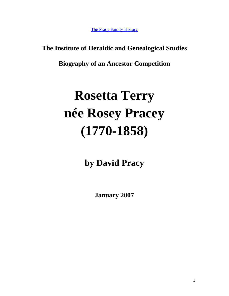[The Pracy Family History](http://www.hagger.org/documents/PracyHistory.pdf)

# **The Institute of Heraldic and Genealogical Studies**

**Biography of an Ancestor Competition**

# **Rosetta Terry née Rosey Pracey (1770-1858)**

**by David Pracy** 

**January 2007**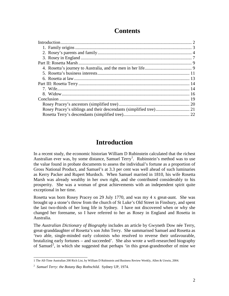# **Contents**

# **Introduction**

<span id="page-1-0"></span>In a recent study, the economic historian William D Rubinstein calculated that the richest Australian ever was, by some distance, Samuel Terry<sup>[1](#page-1-1)</sup>. Rubinstein's method was to use the value found in probate documents to assess the individual's fortune as a proportion of Gross National Product, and Samuel's at 3.3 per cent was well ahead of such luminaries as Kerry Packer and Rupert Murdoch. When Samuel married in 1810, his wife Rosetta Marsh was already wealthy in her own right, and she contributed considerably to his prosperity. She was a woman of great achievements with an independent spirit quite exceptional in her time.

Rosetta was born Rosey Pracey on 29 July 1770, and was my 4 x great-aunt. She was brought up a stone's throw from the church of St Luke's Old Street in Finsbury, and spent the last two-thirds of her long life in Sydney. I have not discovered when or why she changed her forename, so I have referred to her as Rosey in England and Rosetta in Australia.

The *Australian Dictionary of Biography* includes an article by Gwyneth Dow née Terry, great-granddaughter of Rosetta's son John Terry. She summarised Samuel and Rosetta as 'two able, single-minded early colonists who resolved to reverse their unfavourable, brutalizing early fortunes – and succeeded'. She also wrote a well-researched biography of Samuel<sup>[2](#page-1-2)</sup>, in which she suggested that perhaps 'in this great-grandmother of mine we

<span id="page-1-1"></span> <sup>1</sup> The All-Time Australian 200 Rich List, by William D Rubinstein and Business Review Weekly, Allen & Unwin, 2004.

<span id="page-1-2"></span><sup>2</sup> *Samuel Terry: the Botany Bay Rothschild.* Sydney UP, 1974.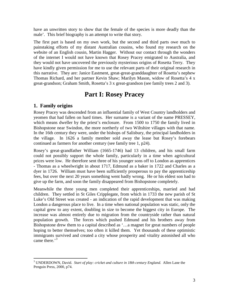have an unwritten story to show that the female of the species is more deadly than the male'. This brief biography is an attempt to write that story.

The first part is based on my own work, but the second and third parts owe much to painstaking efforts of my distant Australian cousins, who found my research on the website of an English cousin, Martin Hagger. Without our contact through the wonders of the internet I would not have known that Rosey Pracey emigrated to Australia, and they would not have uncovered the previously mysterious origins of Rosetta Terry. They have kindly given permission for me to use the relevant parts of their original research in this narrative. They are: Janice Eastment, great-great-granddaughter of Rosetta's nephew Thomas Richard, and her partner Kevin Shaw; Marilyn Mason, widow of Rosetta's 4 x great-grandson; Graham Smith, Rosetta's 3 x great-grandson (see family trees 2 and 3).

# **Part I: Rosey Pracey**

### <span id="page-2-0"></span>**1. Family origins**

Rosey Pracey was descended from an influential family of West Country landholders and yeomen that had fallen on hard times. Her surname is a variant of the name PRESSEY, which means dweller by the priest's enclosure. From 1500 to 1750 the family lived in Bishopstone near Swindon, the more northerly of two Wiltshire villages with that name. In the 16th century they were, under the bishops of Salisbury, the principal landholders in the village. In 1626 a family member sold away the lease but Rosey's forebears continued as farmers for another century (see family tree 1, p24).

Rosey's great-grandfather William (1665-1746) had 13 children, and his small farm could not possibly support the whole family, particularly in a time when agricultural prices were low. He therefore sent three of his younger sons off to London as apprentices - Thomas as a wheelwright in about 1717, Edmund as a baker in 1722 and Charles as a dyer in 1726. William must have been sufficiently prosperous to pay the apprenticeship fees, but over the next 20 years something went badly wrong. He or his eldest son had to give up the farm, and soon the family disappeared from Bishopstone completely.

Meanwhile the three young men completed their apprenticeships, married and had children. They settled in St Giles Cripplegate, from which in 1733 the new parish of St Luke's Old Street was created - an indication of the rapid development that was making London a dangerous place to live. In a time when national population was static, only the capital grew to any extent, doubling in size to become the biggest city in Europe. The increase was almost entirely due to migration from the countryside rather than natural population growth. The forces which pushed Edmund and his brothers away from Bishopstone drew them to a capital described as '…a magnet for great numbers of people hoping to better themselves; too often it killed them. Yet thousands of these optimistic immigrants survived and created a city whose prosperity and vitality astonished all who came there. $^{3}$  $^{3}$  $^{3}$ 

<span id="page-2-1"></span> <sup>3</sup> UNDERDOWN, David. *Start of play: cricket and culture in 18th century England*. Allen Lane the Penguin Press, 2000, p74.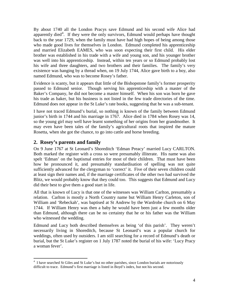By about 1740 all the London Pracys save Edmund and his second wife Alice had apparently died<sup>[4](#page-3-1)</sup>. If they were the only survivors, Edmund would perhaps have thought back to the year 1729, when the family must have had high hopes of being among those who made good lives for themselves in London. Edmund completed his apprenticeship and married Elizabeth EAMES, who was soon expecting their first child. His elder brother was established in his trade with a wife and young son, and his younger brother was well into his apprenticeship. Instead, within ten years or so Edmund probably lost his wife and three daughters, and two brothers and their families. The family's very existence was hanging by a thread when, on 19 July 1744, Alice gave birth to a boy, also named Edmund, who was to become Rosey's father.

Evidence is scanty, but it appears that little of the Bishopstone family's former prosperity passed to Edmund senior. Though serving his apprenticeship with a master of the Baker's Company, he did not become a master himself. When his son was born he gave his trade as baker, but his business is not listed in the few trade directories of the time. Edmund does not appear in the St Luke's rate books, suggesting that he was a sub-tenant.

I have not traced Edmund's burial, so nothing is known of the family between Edmund junior's birth in 1744 and his marriage in 1767. Alice died in 1784 when Rosey was 14, so the young girl may well have learnt something of her origins from her grandmother. It may even have been tales of the family's agricultural roots that inspired the mature Rosetta, when she got the chance, to go into cattle and horse breeding.

#### <span id="page-3-0"></span>**2. Rosey's parents and family**

On 9 June 1767 at St Leonard's Shoreditch 'Edman Preacy' married Lucy CARLTON. Both marked the register with a cross so were presumably illiterate. His name was also spelt 'Edman' on the baptismal entries for most of their children. That must have been how he pronounced it, and presumably standardisation of spelling was not quite sufficiently advanced for the clergyman to 'correct' it. Five of their seven children could at least sign their names and, if the marriage certificates of the other two had survived the Blitz, we would probably know that they could too. This suggests that Edmund and Lucy did their best to give them a good start in life.

All that is known of Lucy is that one of the witnesses was William Carlton, presumably a relation. Carlton is mostly a North Country name but William Henry Carleton, son of William and 'Rebeckah', was baptised at St Andrew by the Wardrobe church on 6 May 1744. If William Henry was then a baby he would have been just a few months older than Edmund, although there can be no certainty that he or his father was the William who witnessed the wedding.

Edmund and Lucy both described themselves as being 'of this parish'. They weren't necessarily living in Shoreditch, because St Leonard's was a popular church for weddings, often used by outsiders. I am still searching for a record of Edmund's death or burial, but the St Luke's register on 1 July 1787 noted the burial of his wife: 'Lucy Pracy a woman fever'.

<span id="page-3-1"></span> <sup>4</sup>  $<sup>4</sup>$  I have searched St Giles and St Luke's but no other parishes, since London burials are notoriously</sup> difficult to trace. Edmund's first marriage is listed in Boyd's index, but not his second.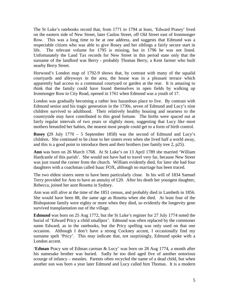The St Luke's ratebooks record that, from 1771 to 1794 at least, 'Edward Prasey' lived on the eastern side of New Street, later Caslon Street, off Old Street east of Ironmonger Row. This was a long time to be at one address, and suggests that Edmund was a respectable citizen who was able to give Rosey and her siblings a fairly secure start in life. The relevant volume for 1795 is missing, but in 1796 he was not listed. Unfortunately the Land Tax records for New Street in this period state only that the surname of the landlord was Berry - probably Thomas Berry, a Kent farmer who built nearby Berry Street.

Horwood's London map of 1792-9 shows that, by contrast with many of the squalid courtyards and alleyways in the area, the house was in a pleasant terrace which apparently had access to a communal courtyard or garden at the rear. It is amazing to think that the family could have found themselves in open fields by walking up Ironmonger Row to City Road, opened in 1761 when Edmund was a youth of 17.

London was gradually becoming a rather less hazardous place to live. By contrast with Edmund senior and his tragic generation in the 1730s, seven of Edmund and Lucy's nine children survived to adulthood. Their relatively healthy housing and nearness to the countryside may have contributed to this good fortune. The births were spaced out at fairly regular intervals of two years or slightly more, suggesting that Lucy like most mothers breastfed her babies, the nearest most people could get to a form of birth control.

**Rosey (**29 July 1770 – 5 September 1858) was the second of Edmund and Lucy's children. She continued to be close to her sisters even when she lived half a world away, and this is a good point to introduce them and their brothers (see family tree 2, p25).

**Ann** was born on 26 March 1768. At St Luke's on 13 April 1789 she married 'William Hardcastle of this parish'. She would not have had to travel very far, because New Street was just round the corner from the church. William evidently died, for later she had four daughters with a coachman called Isaac FOX, although no marriage has been traced.

The two eldest sisters seem to have been particularly close. In his will of 1834 Samuel Terry provided for Ann to have an annuity of £20. After his death her youngest daughter, Rebecca, joined her aunt Rosetta in Sydney.

Ann was still alive at the time of the 1851 census, and probably died in Lambeth in 1856. She would have been 88, the same age as Rosetta when she died. At least four of the Bishopstone family were eighty or more when they died, so evidently the longevity gene survived transplantation out of the village.

**Edmund** was born on 25 Aug 1772, but the St Luke's register for 27 July 1774 noted the burial of 'Edward Pricy a child smallpox'. Edmund was often replaced by the commoner name Edward, as in the ratebooks, but the Pricy spelling was only used on that one occasion. Although I don't have a strong Cockney accent, I occasionally find my surname spelt 'Pricy'. This may indicate that, not surprisingly, Edmund spoke with a London accent.

'**Edman** Pracy son of Edman carman & Lucy' was born on 28 Aug 1774, a month after his namesake brother was buried. Sadly he too died aged five of another notorious scourge of infancy – measles. Parents often recycled the name of a dead child, but when another son was born a year later Edmund and Lucy called him Thomas. It is a modern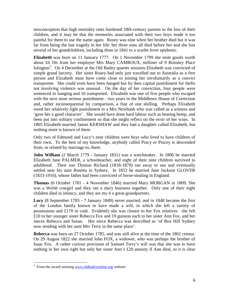misconception that high mortality rates hardened 18th-century parents to the loss of their children, and it may be that the memories associated with their two boys made it too painful for them to use the name again. Rosey was nine when her brother died but it was far from being the last tragedy in her life: her three sons all died before her and she lost several of her grandchildren, including three in 1841 to a scarlet fever epidemic.

**Elizabeth** was born on 11 January 1777. On 1 November 1799 she stole goods worth about £6 10s from her employer Mrs Mary CAMROUX, milliner of 9 Brinsley Place Islington<sup>[5](#page-5-0)</sup>. On 4 December at the Old Bailey quarter sessions Elizabeth was convicted of simple grand larceny. Her sister Rosey had only just travelled out to Australia as a free person and Elizabeth must have come close to joining her involuntarily as a convict transportee. She could even have been hanged but by then capital punishment for thefts not involving violence was unusual. On the day of her conviction, four people were sentenced to hanging and 16 transported. Elizabeth was one of five people who escaped with the next most serious punishment - two years in the Middlesex House of Correction and, rather inconsequential by comparison, a fine of one shilling. Perhaps Elizabeth owed her relatively light punishment to a Mrs Newbank who was called as a witness and 'gave her a good character'. She would have done hard labour such as beating hemp, and been put into solitary confinement so that she might reflect on the error of her ways. In 1805 Elizabeth married James KERSHAW and they had a daughter called Elizabeth, but nothing more is known of them.

Only two of Edmund and Lucy's nine children were boys who lived to have children of their own**.** To the best of my knowledge, anybody called Pracy or Pracey is descended from, or related by marriage to, them.

**John William** (2 March 1779 - January 1831) was a watchmaker. In 1806 he married Elizabeth Jane PALMER, a schoolteacher, and eight of their nine children survived to adulthood. Their son Thomas Richard (1818-1879) ran away to sea and eventually settled near his aunt Rosetta in Sydney. In 1853 he married Jane Jackson GLOVER (1833-1910), whose father had been convicted of horse-stealing in England.

**Thomas** (6 October 1781 - 4 November 1846) married Mary MORGAN in 1809. She was a Welsh cowgirl and they ran a dairy business together. Only one of their eight children died in infancy, and they are my 4 x great-grandparents.

**Lucy** (8 September 1783 - 7 January 1849) never married, and in 1848 became the first of the London family known to have made a will, in which she left a variety of possessions and £170 in cash. Evidently she was closest to her Fox relatives: she left £10 to her younger sister Rebecca Fox and 19 guineas each to her sister Ann Fox, and her nieces Rebecca and Susan. Her niece Rebecca was described as 'of Box Hill Sydney now residing with her aunt Mrs Terry in the same place'.

**Rebecca** was born on 27 October 1785, and was still alive at the time of the 1861 census. On 29 August 1822 she married John FOX, a widower, who was perhaps the brother of Isaac Fox. A rather curious provision of Samuel Terry's will was that she was to have nothing in her own right but only her sister Ann's £20 annuity if Ann died, so it is clear

<span id="page-5-0"></span> $<sup>5</sup>$  From the award-winning [www.oldbaileyonline.org](http://www.oldbaileyonline.org/) website.</sup>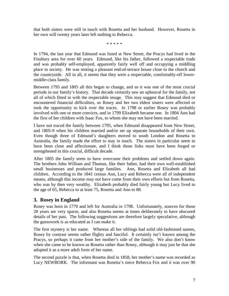that both sisters were still in touch with Rosetta and her husband. However, Rosetta in her own will twenty years later left nothing to Rebecca.

\* \* \* \* \*

In 1794, the last year that Edmund was listed at New Street, the Pracys had lived in the Finsbury area for over 60 years. Edmund, like his father, followed a respectable trade and was probably self-employed, apparently fairly well off and occupying a middling place in society. He was renting a pleasant end-of-terrace house close to the church and the countryside. All in all, it seems that they were a respectable, comfortably-off lowermiddle-class family.

Between 1795 and 1805 all this began to change, and so it was one of the most crucial periods in our family's history. That decade certainly saw an upheaval for the family, not all of which fitted in with the respectable image. This may suggest that Edmund died or encountered financial difficulties, so Rosey and her two eldest sisters were affected or took the opportunity to kick over the traces. In 1798 or earlier Rosey was probably involved with one or more convicts, and in 1799 Elizabeth became one. In 1804 Ann had the first of her children with Isaac Fox, to whom she may not have been married.

I have not traced the family between 1795, when Edmund disappeared from New Street, and 1805-9 when his children married and/or set up separate households of their own. Even though three of Edmund's daughters moved to south London and Rosetta to Australia, the family made the effort to stay in touch. The sisters in particular seem to have been close and affectionate, and I think those links must have been forged or strengthened in this crucial, difficult decade.

After 1805 the family seem to have overcome their problems and settled down again. The brothers John William and Thomas, like their father, had their own well-established small businesses and produced large families. Ann, Rosetta and Elizabeth all had children. According to the 1841 census Ann, Lucy and Rebecca were all of independent means, although this income may not have come from their own efforts but from Rosetta, who was by then very wealthy. Elizabeth probably died fairly young but Lucy lived to the age of 65, Rebecca to at least 75, Rosetta and Ann to 88.

## <span id="page-6-0"></span>**3. Rosey in England**

Rosey was born in 1770 and left for Australia in 1798. Unfortunately, sources for those 28 years are very sparse, and also Rosetta seems at times deliberately to have obscured details of her past. The following suggestions are therefore largely speculative, although the guesswork is as educated as I can make it.

The first mystery is her name. Whereas all her siblings had solid old-fashioned names, Rosey by contrast seems rather flighty and fanciful. It certainly isn't known among the Pracys, so perhaps it came from her mother's side of the family. We also don't know when she came to be known as Rosetta rather than Rosey, although it may just be that she adopted it as a more adult form of her name.

The second puzzle is that, when Rosetta died in 1858, her mother's name was recorded as Lucy NEWBORK. The informant was Rosetta's niece Rebecca Fox and it was over 90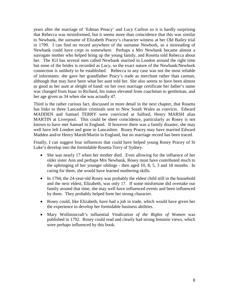years after the marriage of 'Edman Preacy' and Lucy Carlton so it is hardly surprising that Rebecca was misinformed, but it seems more than coincidence that this was similar to Newbank, the surname of Elizabeth Pracey's character witness at her Old Bailey trial in 1799. I can find no record anywhere of the surname Newbork, so a misreading of Newbank could have crept in somewhere. Perhaps a Mrs Newbank became almost a surrogate mother who helped bring up the young family, and Rosetta told Rebecca about her. The IGI has several men called Newbank married in London around the right time but none of the brides is recorded as Lucy, so the exact nature of the Newbank/Newbork connection is unlikely to be established. Rebecca in any case was not the most reliable of informants: she gave her grandfather Pracy's trade as merchant rather than carman, although that may have been what her aunt told her. She also seems to have been almost as good as her aunt at sleight of hand: on her own marriage certificate her father's name was changed from Isaac to Richard, his status elevated from coachman to gentleman, and her age given as 34 when she was actually 47.

Third is the rather curious fact, discussed in more detail in the next chapter, that Rosetta has links to three Lancashire criminals sent to New South Wales as convicts. Edward MADDEN and Samuel TERRY were convicted at Salford, Henry MARSH alias MARTIN at Liverpool. This could be sheer coincidence, particularly as Rosey is not known to have met Samuel in England. If however there was a family disaster, she may well have left London and gone to Lancashire. Rosey Pracey may have married Edward Madden and/or Henry Marsh/Martin in England, but no marriage record has been traced.

Finally, I can suggest four influences that could have helped young Rosey Pracey of St Luke's develop into the formidable Rosetta Terry of Sydney.

- She was nearly 17 when her mother died. Even allowing for the influence of her older sister Ann and perhaps Mrs Newbank, Rosey must have contributed much to the upbringing of her younger siblings - then aged 10, 8, 5, 3 and 18 months. In caring for them, she would have learned mothering skills.
- In 1794, the 24-year-old Rosey was probably the eldest child still in the household and the next eldest, Elizabeth, was only 17. If some misfortune did overtake our family around that time, she may well have influenced events and been influenced by them. They probably helped form her strong character.
- Rosey could, like Elizabeth, have had a job in trade, which would have given her the experience to develop her formidable business abilities.
- Mary Wollstoncraft's influential *Vindication of the Rights of Women* was published in 1792. Rosey could read and clearly had strong feminist views, which were perhaps influenced by this book.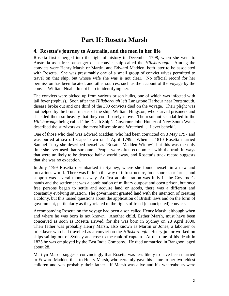# **Part II: Rosetta Marsh**

#### <span id="page-8-1"></span><span id="page-8-0"></span>**4. Rosetta's journey to Australia, and the men in her life**

Rosetta first emerged into the light of history in December 1798, when she went to Australia as a free passenger on a convict ship called the *Hillsborough*. Among the convicts were Henry Marsh or Martin, and Edward Madden, both later to be associated with Rosetta. She was presumably one of a small group of convict wives permitted to travel on that ship, but whose wife she was is not clear. No official record for her permission has been located, and other sources, such as the account of the voyage by the convict William Noah, do not help in identifying her.

The convicts were picked up from various prison hulks, one of which was infected with jail fever (typhus). Soon after the *Hillsborough* left Langstone Harbour near Portsmouth, disease broke out and one third of the 300 convicts died on the voyage. Their plight was not helped by the brutal master of the ship, William Hingston, who starved prisoners and shackled them so heavily that they could barely move. The resultant scandal led to the *Hillsborough* being called 'the Death Ship'. Governor John Hunter of New South Wales described the survivors as 'the most Miserable and Wretched … I ever beheld'.

One of those who died was Edward Madden, who had been convicted on 3 May 1797 and was buried at sea off Cape Town on 1 April 1799. When in 1810 Rosetta married Samuel Terry she described herself as 'Rosater Madden Widow', but this was the only time she ever used that surname. People were often economical with the truth in ways that were unlikely to be detected half a world away, and Rosetta's track record suggests that she was no exception.

In July 1799 Rosetta disembarked in Sydney, where she found herself in a new and precarious world. There was little in the way of infrastructure, food sources or farms, and support was several months away. At first administration was fully in the Governor's hands and the settlement was a combination of military outpost and open prison, but once free persons began to settle and acquire land or goods, there was a different and constantly evolving situation. The government granted land with the intention of creating a colony, but this raised questions about the application of British laws and on the form of government, particularly as they related to the rights of freed (emancipated) convicts.

Accompanying Rosetta on the voyage had been a son called Henry Marsh, although when and where he was born is not known. Another child, Esther Marsh, must have been conceived as soon as Rosetta arrived, for she was born in Sydney on 28 April 1800. Their father was probably Henry Marsh, also known as Martin or Jones, a labourer or bricklayer who had travelled as a convict on the *Hillsborough*. Henry junior worked on ships sailing out of Sydney and rose to the rank of captain. At the time of his death in 1825 he was employed by the East India Company. He died unmarried in Rangoon, aged about 28.

Marilyn Mason suggests convincingly that Rosetta was less likely to have been married to Edward Madden than to Henry Marsh, who certainly gave his name to her two eldest children and was probably their father. If Marsh was alive and his whereabouts were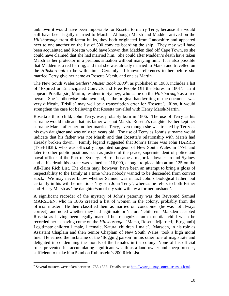unknown it would have been impossible for Rosetta to marry Terry, because she would still have been legally married to Marsh. Although Marsh and Madden arrived on the *Hillsborough* from different hulks, they both originated from Lancashire and appeared next to one another on the list of 300 convicts boarding the ship. They may well have been acquainted and Rosetta would have known that Madden died off Cape Town, so she could have claimed that she had married him. She could after Madden's death have taken Marsh as her protector in a perilous situation without marrying him. It is also possible that Madden is a red herring, and that she was already married to Marsh and travelled on the *Hillsborough* to be with him. Certainly all known references to her before she married Terry give her name as Rosetta Marsh, and one as Martin.

The New South Wales *Settlers' Muster Book 1800*<sup>[6](#page-9-0)</sup>, as published in 1988, includes a list of 'Expired or Emancipated Convicts and Free People Off the Stores in 1801'. In it appears Prisilla [sic] Martin, resident in Sydney, who came on the *Hillsborough* as a free person. She is otherwise unknown and, as the original handwriting of the document was very difficult, 'Prisilla' may well be a transcription error for 'Rosetta'. If so, it would strengthen the case for believing that Rosetta travelled with Henry Marsh/Martin.

Rosetta's third child, John Terry, was probably born in 1806. The use of Terry as his surname would indicate that his father was not Marsh. Rosetta's daughter Esther kept her surname Marsh after her mother married Terry, even though she was treated by Terry as his own daughter and was only ten years old. The use of Terry as John's surname would indicate that his father was not Marsh and that Rosetta's relationship with Marsh had already broken down. Family legend suggested that John's father was John HARRIS (1754-1838), who was officially appointed surgeon of New South Wales in 1791 and later to other public positions such as justice of the peace, superintendent of police and naval officer of the Port of Sydney. Harris became a major landowner around Sydney and at his death his estate was valued at £16,000, enough to place him at no. 125 on the All-Time Rich List. The claim may, however, have been an attempt to bring a gloss of respectability to the family at a time when nobody wanted to be descended from convict stock. We may never know whether Samuel was in fact John's biological father, but certainly in his will he mentions 'my son John Terry', whereas he refers to both Esther and Henry Marsh as 'the daughter/son of my said wife by a former husband'.

A significant recorder of the mystery of John's paternity was the Reverend Samuel MARSDEN, who in 1806 created a list of women in the colony, probably from the official muster. He then classified them as married or 'concubine' (he was not always correct), and noted whether they had legitimate or 'natural' children. Marsden accepted Rosetta as having been legally married but recognized an ex-nuptial child when he recorded her as having come on the *Hillsborough*: 'Marsh, Rosetta M[arried], E[ngland)] Legitimate children 1 male, 1 female, Natural children 1 male'. Marsden, in his role as Assistant Chaplain and then Senior Chaplain of New South Wales, took a high moral line. He earned the nickname of the 'flogging parson' in his other role of magistrate and delighted in condemning the morals of the females in the colony. None of his official roles prevented his accumulating significant wealth as a land owner and sheep breeder, sufficient to make him 52nd on Rubinstein's 200 Rich List.

<span id="page-9-0"></span><sup>&</sup>lt;sup>6</sup> Several musters were taken between 1788-1837. Details are a[t http://www.jaunay.com/auscensus.html.](http://www.jaunay.com/auscensus.html)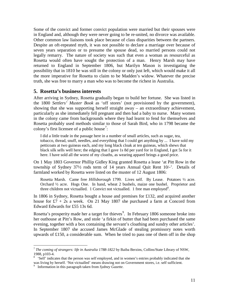Some of the convict and former convict population were married but their spouses were in England and, although they were never going to be re-united, no divorce was available. Other common law liaisons took place because of class disparities between the partners. Despite an oft-repeated myth, it was not possible to declare a marriage over because of seven years separation or to presume the spouse dead, so married persons could not legally remarry. The nature of society was such that even a woman as resourceful as Rosetta would often have sought the protection of a man. Henry Marsh may have returned to England in September 1806, but Marilyn Mason is investigating the possibility that in 1810 he was still in the colony or only just left, which would make it all the more imperative for Rosetta to claim to be Madden's widow. Whatever the precise truth, she was free to marry a man who was to become the richest in Australia.

#### <span id="page-10-0"></span>**5. Rosetta's business interests**

After arriving in Sydney, Rosetta gradually began to build her fortune. She was listed in the 1800 *Settlers' Muster Book* as 'off stores' (not provisioned by the government), showing that she was supporting herself straight away – an extraordinary achievement, particularly as she immediately fell pregnant and then had a baby to nurse. Many women in the colony came from backgrounds where they had learnt to fend for themselves and Rosetta probably used methods similar to those of Sarah Bird, who in 1798 became the colony's first licensee of a public house<sup>[7](#page-10-1)</sup>:

I did a little trade in the passage here in a number of small articles, such as sugar, tea, tobacco, thread, snuff, needles, and everything that I could get anything by ... I have sold my petticoats at two guineas each, and my long black cloak at ten guineas, which shews that black silk sells well here; the edging that I gave 1s 8d per yard for in England, I got 5s for it here. I have sold all the worst of my cloaths, as wearing apparel brings a good price.

On 1 May 1803 Governor Phillip Gidley King granted Rosetta a lease 'at Pitt Row in the township of Sydney 37½ rods term of 14 years Annual Quit Rent 10/-'. Details of farmland worked by Rosetta were listed on the muster of 12 August 1806:

Rosetta Marsh. Came free *Hillsborough* 1799. Lives self. By Lease. Potatoes ½ acre. Orchard ½ acre. Hogs One. In hand, wheat 2 bushels, maize one bushel. Proprietor and three children not victualled. 1 Convict not victualled. 1 free man employed<sup>[8](#page-10-2)</sup>.

In 1806 in Sydney, Rosetta bought a house and premises for £132, and acquired another house for  $£7 + 2s$  a week. On 21 May 1807 she purchased a farm at Concord from Edward Edwards for £55 13s 6d.

Rosetta's prosperity made her a target for thieves<sup>[9](#page-10-3)</sup>. In February 1806 someone broke into her outhouse at Pitt's Row, and stole 'a firkin of butter that had been purchased the same evening, together with a box containing the servant's cloathing and sundry other articles'. In September 1807 she accused James McGlade of stealing promissory notes worth upwards of £150, a considerable sum. When he tried to pass one of them off in the shop

<span id="page-10-1"></span> <sup>7</sup> *The coming of strangers: life in Australia 1788-1822* by Baiba Berzins, Collins/State Library of NSW, 1988, p103-4. <sup>8</sup>

<span id="page-10-2"></span><sup>&</sup>lt;sup>8</sup> 'Self' indicates that the person was self employed, and in women's entries probably indicated that she was living by herself. 'Not victualled' means drawing not on Government stores, i.e. self sufficient.

<span id="page-10-3"></span><sup>&</sup>lt;sup>9</sup> Information in this paragraph taken from *Sydney Gazette*.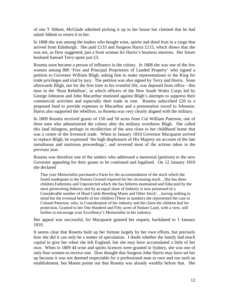of one T Abbott, McGlade admitted picking it up in her house but claimed that he had asked Abbott to return it to her.

In 1808 she was among the traders who bought wine, spirits and dried fruit in a cargo that arrived from Edinburgh. She paid £133 and Surgeon Harris £115, which shows that she was not, as Dow suggested, just a front woman for Harris's business interests. Her future husband Samuel Terry spent just £3.

Rosetta soon became a person of influence in the colony. In 1808 she was one of the few women among 800 'Free and Principal Proprietors of Landed Property' who signed a petition to Governor William Bligh, asking him to make representations to the King for trade privileges and trial by jury. The petition was also signed by Terry and Harris. Soon afterwards Bligh, not for the first time in his eventful life, was deposed from office - this time in the 'Rum Rebellion', in which officers of the New South Wales Corps led by George Johnston and John Macarthur mutinied against Bligh's attempts to suppress their commercial activities and especially their trade in rum. Rosetta subscribed £20 to a proposed fund to provide expenses to Macarthur and a presentation sword to Johnston. Harris also supported the rebellion, so Rosetta was very clearly aligned with the military.

In 1809 Rosetta received grants of 150 and 50 acres from Col William Paterson, one of three men who administered the colony after the military overthrew Bligh. She called this land Islington, perhaps in recollection of the area close to her childhood home that was a centre of the livestock trade. When in January 1810 Governor Macquarie arrived to replace Bligh, he expressed 'the high displeasure of His Majesty on account of the late tumultuous and mutinous proceedings', and reversed most of the actions taken in the previous year.

Rosetta was therefore one of the settlers who addressed a memorial (petition) to the new Governor appealing for their grants to be continued and legalised. On 12 January 1810 she declared

That your Memorialist purchased a Farm for the accommodation of the stock which she found inadequate to the Pasture Ground required for her increasing stock…She has three children Fatherless and Unprotected which she has hitherto maintained and Educated by the most persevering Industry and by an equal share of Industry is now possessed of a Considerable number of Head Cattle Breeding Mares and Other Stock'…having nothing in mind but the eventual benefit of her children (Three in number) she represented the case to Colonel Paterson, who, in Consideration of her industry and the claim the children had for protection, Granted to her One Hundred and Fifty acres of Pasture Land, with a view, still further to encourage your Excellency's Memorialist in her industry.

Her appeal was successful, for Macquarie granted her request, backdated to 1 January 1810.

It seems clear that Rosetta built up her fortune largely by her own efforts, but precisely how she did it can only be a matter of speculation. I doubt whether the family had much capital to give her when she left England, but she may have accumulated a little of her own. When in 1809 44 wine and spirits licences were granted in Sydney, she was one of only four women to receive one. Dow thought that Surgeon John Harris may have set her up because it was not deemed respectable for a professional man to own and run such an establishment, but Mason points out that Rosetta was already wealthy before that. She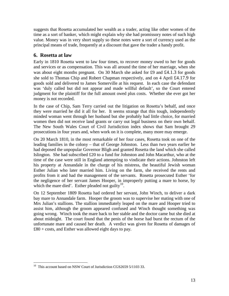suggests that Rosetta accumulated her wealth as a trader, acting like other women of the time as a sort of banker, which might explain why she had promissory notes of such high value. Money was in very short supply so these notes were a sort of currency used as the principal means of trade, frequently at a discount that gave the trader a handy profit.

## <span id="page-12-0"></span>**6. Rosetta at law**

Early in 1810 Rosetta went to law four times, to recover money owed to her for goods and services or as compensation. This was all around the time of her marriage, when she was about eight months pregnant. On 30 March she asked for £9 and £4.1.3 for goods she sold to Thomas Chip and Robert Chapman respectively, and on 4 April £4.17.9 for goods sold and delivered to James Somerville at his request. In each case the defendant was 'duly called but did not appear and made willful default', so the Court entered judgment for the plaintiff for the full amount owed plus costs. Whether she ever got her money is not recorded.

In the case of Chip, Sam Terry carried out the litigation on Rosetta's behalf, and once they were married he did it all for her. It seems strange that this tough, independently minded woman went through her husband but she probably had little choice, for married women then did not receive land grants or carry out legal business on their own behalf. The New South Wales Court of Civil Jurisdiction index shows that Sam brought 29 prosecutions in four years and, when work on it is complete, many more may emerge.

On 20 March 1810, in the most remarkable of her four cases, Rosetta took on one of the leading families in the colony – that of George Johnston. Less than two years earlier he had deposed the unpopular Governor Bligh and granted Rosetta the land which she called Islington. She had subscribed £20 to a fund for Johnston and John Macarthur, who at the time of the case were still in England attempting to vindicate their actions. Johnston left his property at Annandale in the charge of his mistress, the beautiful Jewish woman Esther Julian who later married him. Living on the farm, she received the rents and profits from it and had the management of the servants. Rosetta prosecuted Esther 'for the negligence of her servant James Hooper, in improperly putting a mare to horse, by which the mare died'. Esther pleaded not guilty<sup>10</sup>.

On 12 September 1809 Rosetta had ordered her servant, John Winch, to deliver a dark bay mare to Annandale farm. Hooper the groom was to supervise her mating with one of Mrs Julian's stallions. The stallion immediately leaped on the mare and Hooper tried to assist him, although the groom appeared confused and Winch thought something was going wrong. Winch took the mare back to her stable and the doctor came but she died at about midnight. The court found that the penis of the horse had burst the rectum of the unfortunate mare and caused her death. A verdict was given for Rosetta of damages of  $£80 + \text{costs}$ , and Esther was allowed eight days to pay.

<span id="page-12-1"></span><sup>&</sup>lt;sup>10</sup> This account based on NSW Court of Jurisdiction CGS2659 5/1103 33.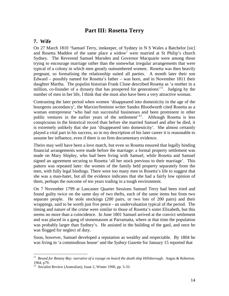## **Part III: Rosetta Terry**

#### <span id="page-13-1"></span><span id="page-13-0"></span>**7. Wife**

On 27 March 1810 'Samuel Terry, innkeeper, of Sydney in N S Wales a Batchelor [sic] and Rosetta Madden of the same place a widow' were married at St Philip's church Sydney. The Reverend Samuel Marsden and Governor Macquarie were among those trying to encourage marriage rather than the somewhat irregular arrangements that were typical of a colony in which men greatly outnumbered women. Rosetta was then heavily pregnant, so formalising the relationship suited all parties. A month later their son Edward – possibly named for Rosetta's father – was born, and in November 1811 their daughter Martha. The populist historian Frank Clune described Rosetta as 'a mother in a million, co-founder of a dynasty that has prospered for generations<sup> $11$ </sup>. Judging by the number of men in her life, I think that she must also have been a very attractive woman.

Contrasting the later period when women 'disappeared into domesticity in the age of the bourgeois ascendancy', the Marxist/feminist writer Sandra Bloodworth cited Rosetta as a woman entrepreneur 'who had run successful businesses and been prominent in other public ventures in the earlier years of the settlement<sup> $12$ </sup>. Although Rosetta is less conspicuous in the historical record than before she married Samuel and after he died, it is extremely unlikely that she just 'disappeared into domesticity'. She almost certainly played a vital part in his success, so in my description of his later career it is reasonable to assume her influence, even if there is no firm documentary evidence.

Theirs may well have been a love match, but even so Rosetta ensured that legally binding financial arrangements were made before the marriage: a formal property settlement was made on Mary Shipley, who had been living with Samuel, while Rosetta and Samuel signed an agreement securing to Rosetta 'all her stock previous to their marriage'. This pattern was repeated later: the women of the family held property separately from the men, with fully legal bindings. There were too many men in Rosetta's life to suggest that she was a man-hater, but all the evidence indicates that she had a fairly low opinion of them, perhaps the outcome of ten years trading in a tough environment.

On 7 November 1799 at Lancaster Quarter Sessions Samuel Terry had been tried and found guilty twice on the same day of two thefts, each of the same items but from two separate people. He stole stockings (200 pairs, or two lots of 200 pairs) and their wrappings, said to be worth just five pence - an undervaluation typical of the period. The timing and nature of the crime were similar to those of Rosetta's sister Elizabeth, but this seems no more than a coincidence. In June 1801 Samuel arrived at the convict settlement and was placed in a gang of stonemasons at Parramatta, where at that time the population was probably larger than Sydney's. He assisted in the building of the gaol, and once he was flogged for neglect of duty.

Soon, however, Samuel developed a reputation as wealthy and respectable. By 1804 he was living in 'a commodious house' and the *Sydney Gazette* for January 15 reported that

<span id="page-13-2"></span><sup>&</sup>lt;sup>11</sup> *Bound for Botany Bay: narrative of a voyage on board the death ship Hillsborough.* Angus & Roberton. 1964, p79.<br> $12^1$  Socialist Review (Australian), Issue 2, Winter 1990, pp. 5-33.

<span id="page-13-3"></span>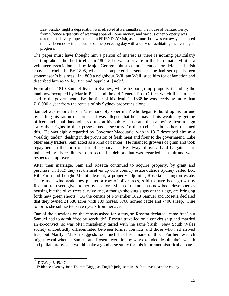Last Sunday night a depredation was effected at Parramatta in the house of Samuel Terry; from whence a quantity of wearing apparel, some money, and various other property was taken. It had every appearance of a FRIENDLY visit, as an inner bolt was cut away, supposed to have been done in the course of the preceding day with a view of facilitating the evening's progress.

The paper must have thought him a person of interest as there is nothing particularly startling about the theft itself. In 1804-5 he was a private in the Parramatta Militia, a volunteer association led by Major George Johnston and intended for defence if Irish convicts rebelled. By 1806, when he completed his sentence, he had set up his own stonemason's business. In 1809 a neighbour, William Wall, sued him for defamation and described him as 'Vile, Rich and oppulent'  $[sic]$ <sup>[13](#page-14-0)</sup>.

From about 1810 Samuel lived in Sydney, where he bought up property including the land now occupied by Martin Place and the old General Post Office, which Rosetta later sold to the government. By the time of his death in 1838 he was receiving more than £10,000 a year from the rentals of his Sydney properties alone.

Samuel was reported to be 'a remarkably sober man' who began to build up his fortune by selling his ration of spirits. It was alleged that he 'amassed his wealth by getting officers and small landholders drunk at his public house and then allowing them to sign away their rights to their possessions as security for their debts<sup> $14$ </sup>, but others disputed this. He was highly regarded by Governor Macquarie, who in 1817 described him as a 'wealthy trader', dealing in the provision of fresh meat and flour to the government. Like other early traders, Sam acted as a kind of banker. He financed growers of grain and took repayment in the form of part of the harvest. He always drove a hard bargain, as is indicated by his readiness to prosecute his debtors, but was regarded as a fair and wellrespected employer.

After their marriage, Sam and Rosetta continued to acquire property, by grant and purchase. In 1819 they set themselves up on a country estate outside Sydney called Box Hill Farm and bought Mount Pleasant, a property adjoining Rosetta's Islington estate. There as a windbreak they planted a row of olive trees, said to have been grown by Rosetta from seed given to her by a sailor. Much of the area has now been developed as housing but the olive trees survive and, although showing signs of their age, are bringing forth new green shoots. On the census of November 1828 Samuel and Rosetta declared that they owned 21,580 acres with 189 horses, 3700 horned cattle and 7400 sheep. True to form, she subtracted seven years from her age.

One of the questions on the census asked for status, so Rosetta declared 'came free' but Samuel had to admit 'free by servitude'. Rosetta travelled on a convict ship and married an ex-convict, so was often mistakenly tarred with the same brush. New South Wales society undoubtedly differentiated between former convicts and those who had arrived free, but Marilyn Mason suggests too much has been made of this. Further research might reveal whether Samuel and Rosetta were in any way excluded despite their wealth and philanthropy, and would make a good case study for this important historical debate.

<span id="page-14-1"></span><span id="page-14-0"></span><sup>&</sup>lt;sup>13</sup> DOW, p43, 45, 47.<br><sup>14</sup> Evidence taken by John Thomas Bigge, an English judge sent in 1819 to investigate the colony.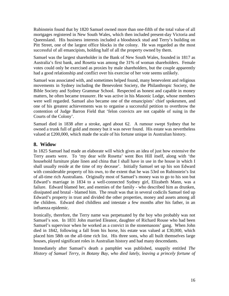Rubinstein found that by 1820 Samuel owned more than one-fifth of the total value of all mortgages registered in New South Wales, which then included present-day Victoria and Queensland. His business interests included a bloodstock stud and Terry's building on Pitt Street, one of the largest office blocks in the colony. He was regarded as the most successful of all emancipists, holding half of all the property owned by them.

Samuel was the largest shareholder in the Bank of New South Wales, founded in 1817 as Australia's first bank, and Rosetta was among the 31% of woman shareholders. Female votes could only be exercised as proxies by male shareholders, but the couple apparently had a good relationship and conflict over his exercise of her vote seems unlikely.

Samuel was associated with, and sometimes helped found, many benevolent and religious movements in Sydney including the Benevolent Society, the Philanthropic Society, the Bible Society and Sydney Grammar School. Respected as honest and capable in money matters, he often became treasurer. He was active in his Masonic Lodge, whose members were well regarded. Samuel also became one of the emancipists' chief spokesmen, and one of his greatest achievements was to organise a successful petition to overthrow the contention of Judge Barron Field that 'felon convicts are not capable of suing in the Courts of the Colony'.

Samuel died in 1838 after a stroke, aged about 62. A rumour swept Sydney that he owned a trunk full of gold and money but it was never found. His estate was nevertheless valued at £200,000, which made the scale of his fortune unique in Australian history.

## <span id="page-15-0"></span>**8. Widow**

In 1825 Samuel had made an elaborate will which gives an idea of just how extensive the Terry assets were. To 'my dear wife Rosetta' went Box Hill itself, along with 'the household furniture plate linen and china that I shall have in use in the house in which I shall usually reside at the time of my decease'. Initially Samuel set up his son Edward with considerable property of his own, to the extent that he was 53rd on Rubinstein's list of all-time rich Australians. Originally most of Samuel's money was to go to his son but Edward's marriage in 1834 to a well-connected Sydney girl, Elizabeth Mann, was a failure. Edward blamed her, and enemies of the family - who described him as drunken, dissipated and brutal - blamed him. The result was that in several codicils Samuel tied up Edward's property in trust and divided the other properties, money and assets among all the children. Edward died childless and intestate a few months after his father, in an influenza epidemic.

Ironically, therefore, the Terry name was perpetuated by the boy who probably was not Samuel's son. In 1831 John married Eleanor, daughter of Richard Rouse who had been Samuel's supervisor when he worked as a convict in the stonemasons' gang. When John died in 1842, following a fall from his horse, his estate was valued at £30,000, which placed him 58th on the all-time rich list. His three sons, who all built themselves large houses, played significant roles in Australian history and had many descendants.

Immediately after Samuel's death a pamphlet was published, snappily entitled *The History of Samuel Terry, in Botany Bay, who died lately, leaving a princely fortune of*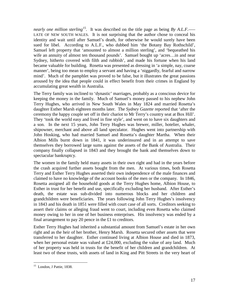*nearly one million sterling*<sup>[15](#page-16-0)</sup>. It was described on the title page as being *By A.L.F.*—– LATE OF NEW SOUTH WALES. It is not surprising that the author chose to conceal his identity and wait until after Samuel's death, for otherwise he would surely have been sued for libel. According to A.L.F., who dubbed him 'the Botany Bay Rothschild', Samuel left property that 'amounted to almost a million sterling', and 'bequeathed his wife an annuity of almost ten thousand pounds'. Samuel bought up 'acres…in and near Sydney, hitherto covered with filth and rubbish', and made his fortune when his land became valuable for building. Rosetta was presented as dressing in 'a simple, nay, coarse manner', being too mean to employ a servant and having a 'niggardly, fearful and narrow mind'. Much of the pamphlet was proved to be false, but it illustrates the great passions aroused by the idea that people could in effect benefit from their crimes in England by accumulating great wealth in Australia.

The Terry family was inclined to 'dynastic' marriages, probably as a conscious device for keeping the money in the family. Much of Samuel's money passed to his nephew John Terry Hughes, who arrived in New South Wales in May 1824 and married Rosetta's daughter Esther Marsh eighteen months later. The *Sydney Gazette* reported that 'after the ceremony the happy couple set off in their chariot to Mr Terry's country seat at Box Hill'. They 'took the world easy and lived in fine style', and went on to have six daughters and a son. In the next 15 years, John Terry Hughes was brewer, miller, hotelier, whaler, shipowner, merchant and above all land speculator. Hughes went into partnership with John Hosking, who had married Samuel and Rosetta's daughter Martha. When their Albion Mills burnt down in 1841, it was underinsured and in an attempt to save themselves they borrowed large sums against the assets of the Bank of Australia. Their company finally collapsed in 1843 and they brought the bank and themselves down to spectacular bankruptcy.

The women in the family held many assets in their own right and had in the years before the crash acquired further assets bought from the men. At various times, both Rosetta Terry and Esther Terry Hughes asserted their own independence of the male finances and claimed to have no knowledge of the account books of the men or the company. In 1846, Rosetta assigned all the household goods at the Terry Hughes home, Albion House, to Esther in trust for her benefit and use, specifically excluding her husband. After Esther's death, the estate was sub-divided into numerous blocks and her children and grandchildren were beneficiaries. The years following John Terry Hughes's insolvency in 1843 and his death in 1851 were filled with court case of all sorts. Creditors seeking to assert their claims or alleging fraud went to court, including even Rosetta who claimed money owing to her in one of her business enterprises. His insolvency was ended by a final arrangement to pay 20 pence in the £1 to creditors.

Esther Terry Hughes had inherited a substantial amount from Samuel's estate in her own right and as the heir of her brother, Henry Marsh. Rosetta secured other assets that were transferred to her daughter. Esther continued living at Albion House and died in 1873, when her personal estate was valued at £24,000, excluding the value of any land. Much of her property was held in trusts for the benefit of her children and grandchildren. At least two of these trusts, with assets of land in King and Pitt Streets in the very heart of

<span id="page-16-0"></span><sup>&</sup>lt;sup>15</sup> London, J Pattie, 1838.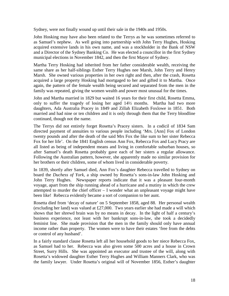Sydney, were not finally wound up until their sale in the 1940s and 1950s.

John Hosking may have also been related to the Terrys as he was sometimes referred to as Samuel's nephew. As well going into partnership with John Terry Hughes, Hosking acquired extensive lands in his own name, and was a stockholder in the Bank of NSW and a Director of the Sydney Banking Co. He was elected a councillor in the first Sydney municipal elections in November 1842, and then the first Mayor of Sydney.

Martha Terry Hosking had inherited from her father considerable wealth, receiving the same share as her half-siblings Esther Terry Hughes nee Marsh, John Terry and Henry Marsh. She owned various properties in her own right and then, after the crash, Rosetta acquired a large property Hosking had mortgaged to her and gifted it to Martha. Once again, the pattern of the female wealth being secured and separated from the men in the family was repeated, giving the women wealth and power most unusual for the times.

John and Martha married in 1829 but waited 16 years for their first child, Rosetta Emma, only to suffer the tragedy of losing her aged 14½ months. Martha had two more daughters, Ada Australia Pracey in 1849 and Zillah Elizabeth Foxlowe in 1851. Both married and had nine or ten children and it is only through them that the Terry bloodline continued, though not the name.

The Terrys did not entirely forget Rosetta's Pracey sisters. In a codicil of 1834 Sam directed payment of annuities to various people including 'Mrs. [Ann] Fox of London twenty pounds and after the death of the said Mrs Fox the like sum to her sister Rebecca Fox for her life'. On the 1841 English census Ann Fox, Rebecca Fox and Lucy Pracy are all listed as being of independent means and living in comfortable suburban houses, so after Samuel's death Rosetta probably gave each of her sisters a regular allowance. Following the Australian pattern, however, she apparently made no similar provision for her brothers or their children, some of whom lived in considerable poverty.

In 1839, shortly after Samuel died, Ann Fox's daughter Rebecca travelled to Sydney on board the *Duchess of York*, a ship owned by Rosetta's sons-in-law John Hosking and John Terry Hughes. Newspaper reports indicate that it was a pleasant four-month voyage, apart from the ship running ahead of a hurricane and a mutiny in which the crew attempted to murder the chief officer – I wonder what an unpleasant voyage might have been like! Rebecca evidently became a sort of companion to her aunt.

Rosetta died from 'decay of nature' on 5 September 1858, aged 88. Her personal wealth (excluding her land) was valued at £27,000. Two years earlier she had made a will which shows that her shrewd brain was by no means in decay. In the light of half a century's business experience, not least with her bankrupt sons-in-law, she took a decidedly feminist line. She made provision that the men in the family should only have annual income rather than property. The women were to have their estates 'free from the debts or control of any husband'.

In a fairly standard clause Rosetta left all her household goods to her niece Rebecca Fox, as Samuel had to her. Rebecca was also given some 500 acres and a house in Crown Street, Surry Hills. She was appointed an executor and trustee of the will, along with Rosetta's widowed daughter Esther Terry Hughes and William Manners Clark, who was the family lawyer. Under Rosetta's original will of November 1856, Esther's daughter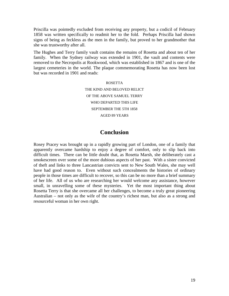Priscilla was pointedly excluded from receiving any property, but a codicil of February 1858 was written specifically to readmit her to the fold. Perhaps Priscilla had shown signs of being as feckless as the men in the family, but proved to her grandmother that she was trustworthy after all.

The Hughes and Terry family vault contains the remains of Rosetta and about ten of her family. When the Sydney railway was extended in 1901, the vault and contents were removed to the Necropolis at Rookwood, which was established in 1867 and is one of the largest cemeteries in the world. The plaque commemorating Rosetta has now been lost but was recorded in 1901 and reads:

> ROSETTA THE KIND AND BELOVED RELICT OF THE ABOVE SAMUEL TERRY WHO DEPARTED THIS LIFE SEPTEMBER THE 5TH 1858 AGED 89 YEARS

## **Conclusion**

<span id="page-18-0"></span>Rosey Pracey was brought up in a rapidly growing part of London, one of a family that apparently overcame hardship to enjoy a degree of comfort, only to slip back into difficult times. There can be little doubt that, as Rosetta Marsh, she deliberately cast a smokescreen over some of the more dubious aspects of her past. With a sister convicted of theft and links to three Lancastrian convicts sent to New South Wales, she may well have had good reason to. Even without such concealments the histories of ordinary people in those times are difficult to recover, so this can be no more than a brief summary of her life. All of us who are researching her would welcome any assistance, however small, in unravelling some of these mysteries. Yet the most important thing about Rosetta Terry is that she overcame all her challenges, to become a truly great pioneering Australian – not only as the wife of the country's richest man, but also as a strong and resourceful woman in her own right.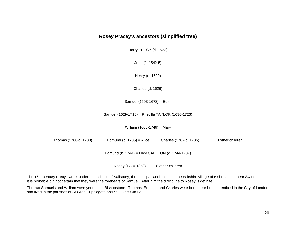#### **Rosey Pracey's ancestors (simplified tree)**

Harry PRECY (d. 1523)

John (fl. 1542-5)

Henry (d. 1599)

Charles (d. 1626)

Samuel (1593-1678) = Edith

Samuel (1629-1716) = Priscilla TAYLOR (1636-1723)

William (1665-1746) = Mary

<span id="page-19-0"></span>Thomas (1700-c. 1730) Edmund (b. 1705) = Alice Charles (1707-c. 1735) 10 other children Edmund (b. 1744) = Lucy CARLTON (c. 1744-1787) Rosey (1770-1858) 8 other children

The 16th-century Precys were, under the bishops of Salisbury, the principal landholders in the Wiltshire village of Bishopstone, near Swindon. It is probable but not certain that they were the forebears of Samuel. After him the direct line to Rosey is definite.

The two Samuels and William were yeomen in Bishopstone. Thomas, Edmund and Charles were born there but apprenticed in the City of London and lived in the parishes of St Giles Cripplegate and St Luke's Old St.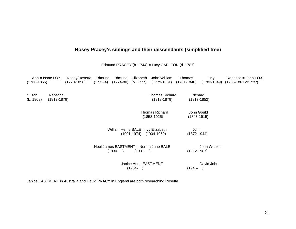# **Rosey Pracey's siblings and their descendants (simplified tree)**

Edmund PRACEY (b. 1744) = Lucy CARLTON (d. 1787)

<span id="page-20-0"></span>

| $(1768 - 1856)$    | Ann = Isaac $FOX$          | Rosey/Rosetta<br>$(1770-1858)$                                                                                                      | Edmund<br>(1772-4)                       | Edmund                  | Elizabeth<br>$(1774-80)$ (b. 1777)    | John William                    | Thomas<br>$(1779-1831)$ $(1781-1846)$ | Lucy       | Rebecca = John FOX<br>(1783-1849) (1785-1861 or later) |
|--------------------|----------------------------|-------------------------------------------------------------------------------------------------------------------------------------|------------------------------------------|-------------------------|---------------------------------------|---------------------------------|---------------------------------------|------------|--------------------------------------------------------|
| Susan<br>(b. 1808) | Rebecca<br>$(1813 - 1879)$ |                                                                                                                                     | <b>Thomas Richard</b><br>$(1818 - 1879)$ |                         | Richard<br>$(1817 - 1852)$            |                                 |                                       |            |                                                        |
|                    |                            |                                                                                                                                     |                                          |                         |                                       | Thomas Richard<br>$(1858-1925)$ | John Gould<br>$(1843 - 1915)$         |            |                                                        |
|                    |                            | William Henry BALE = Ivy Elizabeth<br>$(1901-1974)$ $(1904-1959)$<br>Noel James EASTMENT = Norma June BALE<br>$(1930 - )$<br>(1931- |                                          | John<br>$(1872 - 1944)$ |                                       |                                 |                                       |            |                                                        |
|                    |                            |                                                                                                                                     |                                          | $(1912 - 1987)$         | John Weston                           |                                 |                                       |            |                                                        |
|                    |                            |                                                                                                                                     |                                          |                         | <b>Janice Anne EASTMENT</b><br>(1954- |                                 | (1946-                                | David John |                                                        |

Janice EASTMENT in Australia and David PRACY in England are both researching Rosetta.